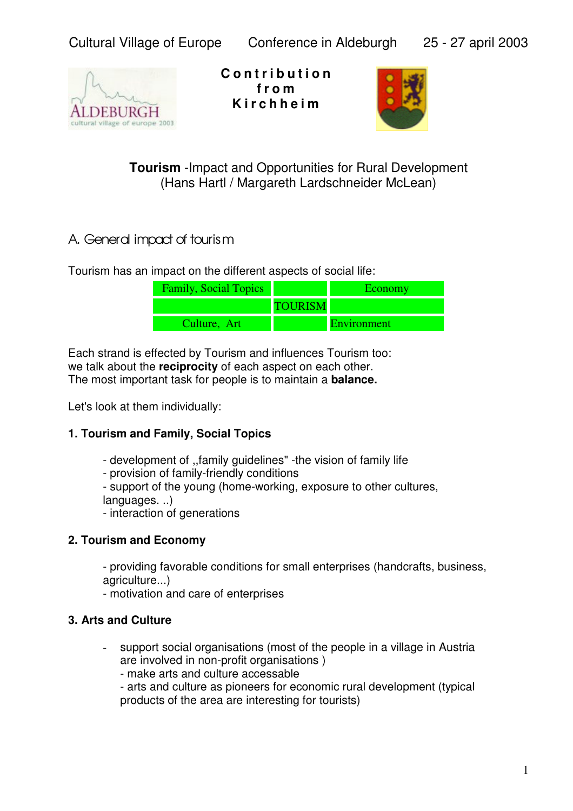

**C o n t r i b u t i o n f r o m K i r c h h e i m**



**Tourism** - Impact and Opportunities for Rural Development (Hans Hartl / Margareth Lardschneider McLean)

# A. General impact of tourism

Tourism has an impact on the different aspects of social life:

| <b>Family, Social Topics</b> |                | Economy            |
|------------------------------|----------------|--------------------|
|                              | <b>TOURISM</b> |                    |
| Culture, Art                 |                | <b>Environment</b> |

Each strand is effected by Tourism and influences Tourism too: we talk about the **reciprocity** of each aspect on each other. The most important task for people is to maintain a **balance.**

Let's look at them individually:

# **1. Tourism and Family, Social Topics**

- development of ,,family guidelines" -the vision of family life
- provision of family-friendly conditions

- support of the young (home-working, exposure to other cultures, languages. ..)

- interaction of generations

# **2. Tourism and Economy**

- providing favorable conditions for small enterprises (handcrafts, business, agriculture...)

- motivation and care of enterprises

# **3. Arts and Culture**

- support social organisations (most of the people in a village in Austria are involved in non-profit organisations )

- make arts and culture accessable

- arts and culture as pioneers for economic rural development (typical products of the area are interesting for tourists)